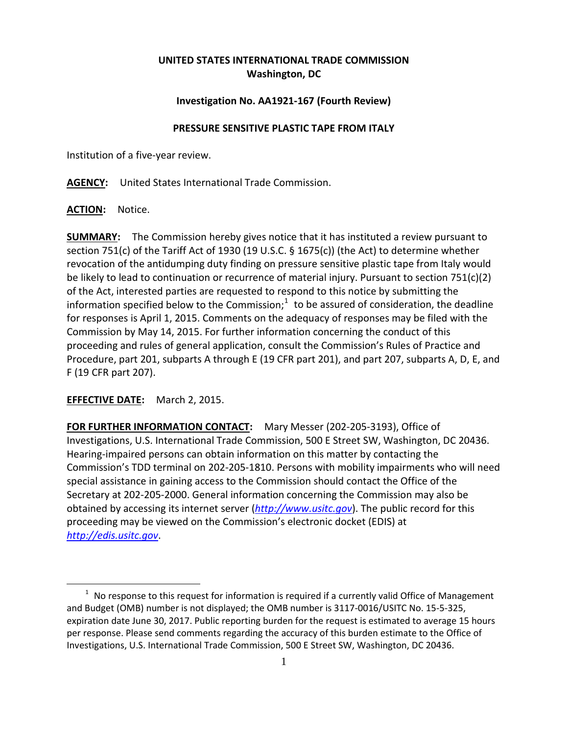## **UNITED STATES INTERNATIONAL TRADE COMMISSION Washington, DC**

## **Investigation No. AA1921-167 (Fourth Review)**

## **PRESSURE SENSITIVE PLASTIC TAPE FROM ITALY**

Institution of a five-year review.

**AGENCY:** United States International Trade Commission.

**ACTION:** Notice.

**SUMMARY:** The Commission hereby gives notice that it has instituted a review pursuant to section 751(c) of the Tariff Act of 1930 (19 U.S.C. § 1675(c)) (the Act) to determine whether revocation of the antidumping duty finding on pressure sensitive plastic tape from Italy would be likely to lead to continuation or recurrence of material injury. Pursuant to section 751(c)(2) of the Act, interested parties are requested to respond to this notice by submitting the information specified below to the Commission;<sup>[1](#page-0-0)</sup> to be assured of consideration, the deadline for responses is April 1, 2015. Comments on the adequacy of responses may be filed with the Commission by May 14, 2015. For further information concerning the conduct of this proceeding and rules of general application, consult the Commission's Rules of Practice and Procedure, part 201, subparts A through E (19 CFR part 201), and part 207, subparts A, D, E, and F (19 CFR part 207).

**EFFECTIVE DATE:** March 2, 2015.

 $\overline{a}$ 

**FOR FURTHER INFORMATION CONTACT:** Mary Messer (202-205-3193), Office of Investigations, U.S. International Trade Commission, 500 E Street SW, Washington, DC 20436. Hearing-impaired persons can obtain information on this matter by contacting the Commission's TDD terminal on 202-205-1810. Persons with mobility impairments who will need special assistance in gaining access to the Commission should contact the Office of the Secretary at 202-205-2000. General information concerning the Commission may also be obtained by accessing its internet server (*[http://www.usitc.gov](http://www.usitc.gov/)*). The public record for this proceeding may be viewed on the Commission's electronic docket (EDIS) at *[http://edis.usitc.gov](http://edis.usitc.gov/)*.

<span id="page-0-0"></span> $1$  No response to this request for information is required if a currently valid Office of Management and Budget (OMB) number is not displayed; the OMB number is 3117-0016/USITC No. 15-5-325, expiration date June 30, 2017. Public reporting burden for the request is estimated to average 15 hours per response. Please send comments regarding the accuracy of this burden estimate to the Office of Investigations, U.S. International Trade Commission, 500 E Street SW, Washington, DC 20436.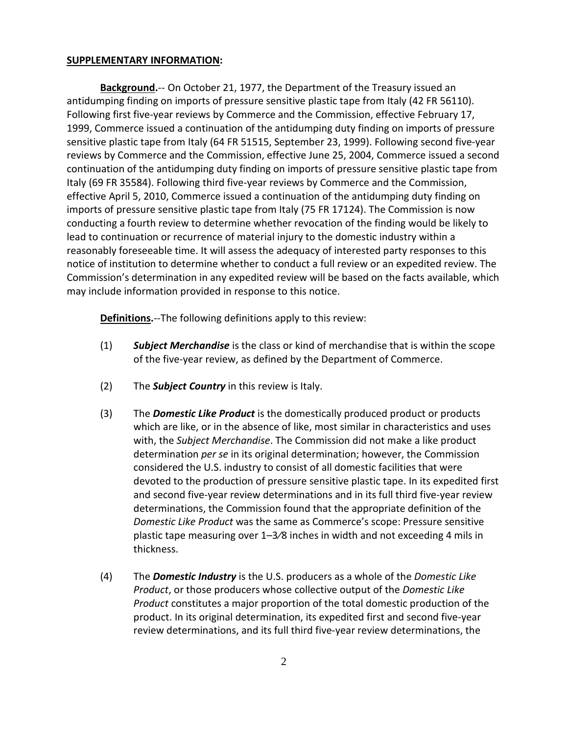## **SUPPLEMENTARY INFORMATION:**

**Background.**-- On October 21, 1977, the Department of the Treasury issued an antidumping finding on imports of pressure sensitive plastic tape from Italy (42 FR 56110). Following first five-year reviews by Commerce and the Commission, effective February 17, 1999, Commerce issued a continuation of the antidumping duty finding on imports of pressure sensitive plastic tape from Italy (64 FR 51515, September 23, 1999). Following second five-year reviews by Commerce and the Commission, effective June 25, 2004, Commerce issued a second continuation of the antidumping duty finding on imports of pressure sensitive plastic tape from Italy (69 FR 35584). Following third five-year reviews by Commerce and the Commission, effective April 5, 2010, Commerce issued a continuation of the antidumping duty finding on imports of pressure sensitive plastic tape from Italy (75 FR 17124). The Commission is now conducting a fourth review to determine whether revocation of the finding would be likely to lead to continuation or recurrence of material injury to the domestic industry within a reasonably foreseeable time. It will assess the adequacy of interested party responses to this notice of institution to determine whether to conduct a full review or an expedited review. The Commission's determination in any expedited review will be based on the facts available, which may include information provided in response to this notice.

**Definitions.**--The following definitions apply to this review:

- (1) *Subject Merchandise* is the class or kind of merchandise that is within the scope of the five-year review, as defined by the Department of Commerce.
- (2) The *Subject Country* in this review is Italy.
- (3) The *Domestic Like Product* is the domestically produced product or products which are like, or in the absence of like, most similar in characteristics and uses with, the *Subject Merchandise*. The Commission did not make a like product determination *per se* in its original determination; however, the Commission considered the U.S. industry to consist of all domestic facilities that were devoted to the production of pressure sensitive plastic tape. In its expedited first and second five-year review determinations and in its full third five-year review determinations, the Commission found that the appropriate definition of the *Domestic Like Product* was the same as Commerce's scope: Pressure sensitive plastic tape measuring over 1–3⁄8 inches in width and not exceeding 4 mils in thickness.
- (4) The *Domestic Industry* is the U.S. producers as a whole of the *Domestic Like Product*, or those producers whose collective output of the *Domestic Like Product* constitutes a major proportion of the total domestic production of the product. In its original determination, its expedited first and second five-year review determinations, and its full third five-year review determinations, the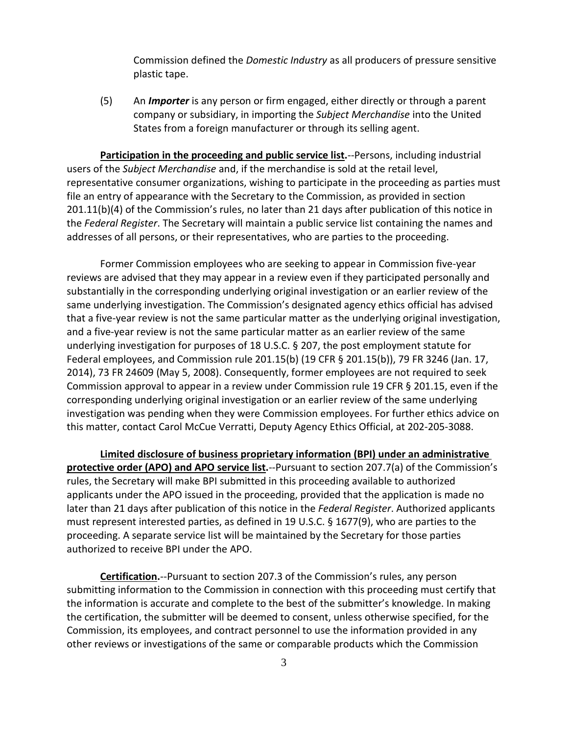Commission defined the *Domestic Industry* as all producers of pressure sensitive plastic tape.

(5) An *Importer* is any person or firm engaged, either directly or through a parent company or subsidiary, in importing the *Subject Merchandise* into the United States from a foreign manufacturer or through its selling agent.

**Participation in the proceeding and public service list.**--Persons, including industrial users of the *Subject Merchandise* and, if the merchandise is sold at the retail level, representative consumer organizations, wishing to participate in the proceeding as parties must file an entry of appearance with the Secretary to the Commission, as provided in section 201.11(b)(4) of the Commission's rules, no later than 21 days after publication of this notice in the *Federal Register*. The Secretary will maintain a public service list containing the names and addresses of all persons, or their representatives, who are parties to the proceeding.

Former Commission employees who are seeking to appear in Commission five-year reviews are advised that they may appear in a review even if they participated personally and substantially in the corresponding underlying original investigation or an earlier review of the same underlying investigation. The Commission's designated agency ethics official has advised that a five-year review is not the same particular matter as the underlying original investigation, and a five-year review is not the same particular matter as an earlier review of the same underlying investigation for purposes of 18 U.S.C. § 207, the post employment statute for Federal employees, and Commission rule 201.15(b) (19 CFR § 201.15(b)), 79 FR 3246 (Jan. 17, 2014), 73 FR 24609 (May 5, 2008). Consequently, former employees are not required to seek Commission approval to appear in a review under Commission rule 19 CFR § 201.15, even if the corresponding underlying original investigation or an earlier review of the same underlying investigation was pending when they were Commission employees. For further ethics advice on this matter, contact Carol McCue Verratti, Deputy Agency Ethics Official, at 202-205-3088.

**Limited disclosure of business proprietary information (BPI) under an administrative protective order (APO) and APO service list.**--Pursuant to section 207.7(a) of the Commission's rules, the Secretary will make BPI submitted in this proceeding available to authorized applicants under the APO issued in the proceeding, provided that the application is made no later than 21 days after publication of this notice in the *Federal Register*. Authorized applicants must represent interested parties, as defined in 19 U.S.C. § 1677(9), who are parties to the proceeding. A separate service list will be maintained by the Secretary for those parties authorized to receive BPI under the APO.

**Certification.**--Pursuant to section 207.3 of the Commission's rules, any person submitting information to the Commission in connection with this proceeding must certify that the information is accurate and complete to the best of the submitter's knowledge. In making the certification, the submitter will be deemed to consent, unless otherwise specified, for the Commission, its employees, and contract personnel to use the information provided in any other reviews or investigations of the same or comparable products which the Commission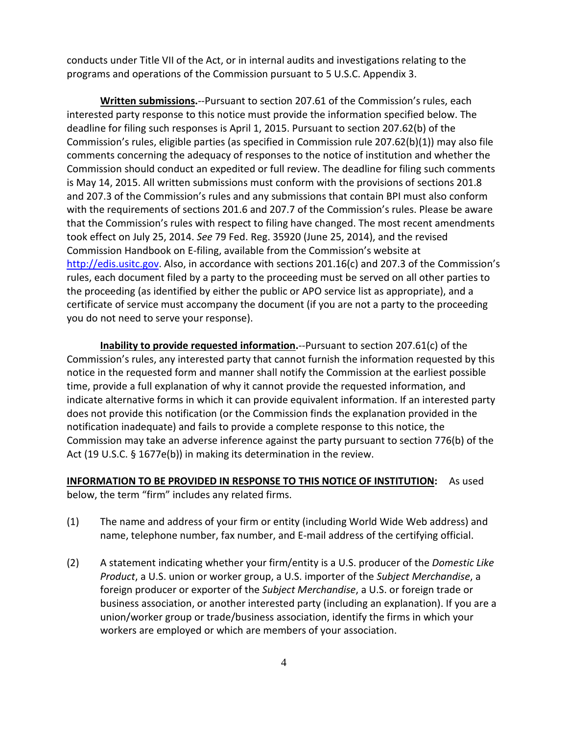conducts under Title VII of the Act, or in internal audits and investigations relating to the programs and operations of the Commission pursuant to 5 U.S.C. Appendix 3.

**Written submissions.**--Pursuant to section 207.61 of the Commission's rules, each interested party response to this notice must provide the information specified below. The deadline for filing such responses is April 1, 2015. Pursuant to section 207.62(b) of the Commission's rules, eligible parties (as specified in Commission rule 207.62(b)(1)) may also file comments concerning the adequacy of responses to the notice of institution and whether the Commission should conduct an expedited or full review. The deadline for filing such comments is May 14, 2015. All written submissions must conform with the provisions of sections 201.8 and 207.3 of the Commission's rules and any submissions that contain BPI must also conform with the requirements of sections 201.6 and 207.7 of the Commission's rules. Please be aware that the Commission's rules with respect to filing have changed. The most recent amendments took effect on July 25, 2014. *See* 79 Fed. Reg. 35920 (June 25, 2014), and the revised Commission Handbook on E-filing, available from the Commission's website at [http://edis.usitc.gov.](http://edis.usitc.gov/) Also, in accordance with sections 201.16(c) and 207.3 of the Commission's rules, each document filed by a party to the proceeding must be served on all other parties to the proceeding (as identified by either the public or APO service list as appropriate), and a certificate of service must accompany the document (if you are not a party to the proceeding you do not need to serve your response).

**Inability to provide requested information.**--Pursuant to section 207.61(c) of the Commission's rules, any interested party that cannot furnish the information requested by this notice in the requested form and manner shall notify the Commission at the earliest possible time, provide a full explanation of why it cannot provide the requested information, and indicate alternative forms in which it can provide equivalent information. If an interested party does not provide this notification (or the Commission finds the explanation provided in the notification inadequate) and fails to provide a complete response to this notice, the Commission may take an adverse inference against the party pursuant to section 776(b) of the Act (19 U.S.C. § 1677e(b)) in making its determination in the review.

**INFORMATION TO BE PROVIDED IN RESPONSE TO THIS NOTICE OF INSTITUTION:** As used below, the term "firm" includes any related firms.

- (1) The name and address of your firm or entity (including World Wide Web address) and name, telephone number, fax number, and E-mail address of the certifying official.
- (2) A statement indicating whether your firm/entity is a U.S. producer of the *Domestic Like Product*, a U.S. union or worker group, a U.S. importer of the *Subject Merchandise*, a foreign producer or exporter of the *Subject Merchandise*, a U.S. or foreign trade or business association, or another interested party (including an explanation). If you are a union/worker group or trade/business association, identify the firms in which your workers are employed or which are members of your association.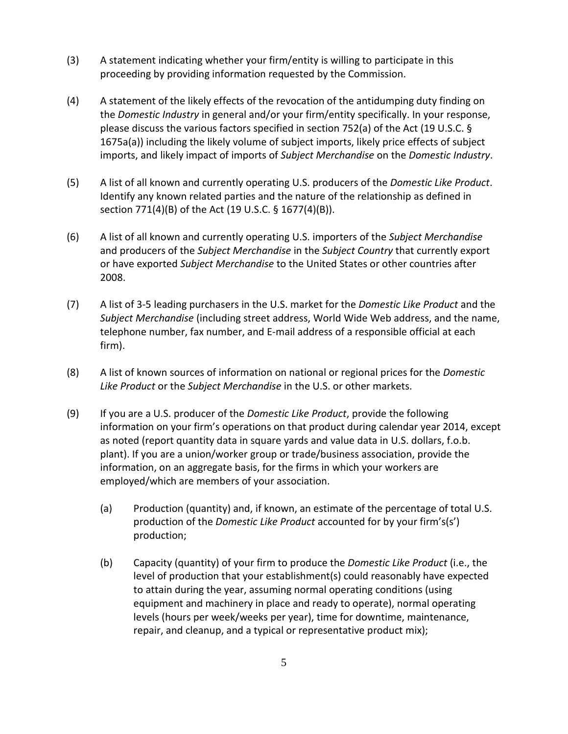- (3) A statement indicating whether your firm/entity is willing to participate in this proceeding by providing information requested by the Commission.
- (4) A statement of the likely effects of the revocation of the antidumping duty finding on the *Domestic Industry* in general and/or your firm/entity specifically. In your response, please discuss the various factors specified in section 752(a) of the Act (19 U.S.C. § 1675a(a)) including the likely volume of subject imports, likely price effects of subject imports, and likely impact of imports of *Subject Merchandise* on the *Domestic Industry*.
- (5) A list of all known and currently operating U.S. producers of the *Domestic Like Product*. Identify any known related parties and the nature of the relationship as defined in section 771(4)(B) of the Act (19 U.S.C. § 1677(4)(B)).
- (6) A list of all known and currently operating U.S. importers of the *Subject Merchandise* and producers of the *Subject Merchandise* in the *Subject Country* that currently export or have exported *Subject Merchandise* to the United States or other countries after 2008.
- (7) A list of 3-5 leading purchasers in the U.S. market for the *Domestic Like Product* and the *Subject Merchandise* (including street address, World Wide Web address, and the name, telephone number, fax number, and E-mail address of a responsible official at each firm).
- (8) A list of known sources of information on national or regional prices for the *Domestic Like Product* or the *Subject Merchandise* in the U.S. or other markets.
- (9) If you are a U.S. producer of the *Domestic Like Product*, provide the following information on your firm's operations on that product during calendar year 2014, except as noted (report quantity data in square yards and value data in U.S. dollars, f.o.b. plant). If you are a union/worker group or trade/business association, provide the information, on an aggregate basis, for the firms in which your workers are employed/which are members of your association.
	- (a) Production (quantity) and, if known, an estimate of the percentage of total U.S. production of the *Domestic Like Product* accounted for by your firm's(s') production;
	- (b) Capacity (quantity) of your firm to produce the *Domestic Like Product* (i.e., the level of production that your establishment(s) could reasonably have expected to attain during the year, assuming normal operating conditions (using equipment and machinery in place and ready to operate), normal operating levels (hours per week/weeks per year), time for downtime, maintenance, repair, and cleanup, and a typical or representative product mix);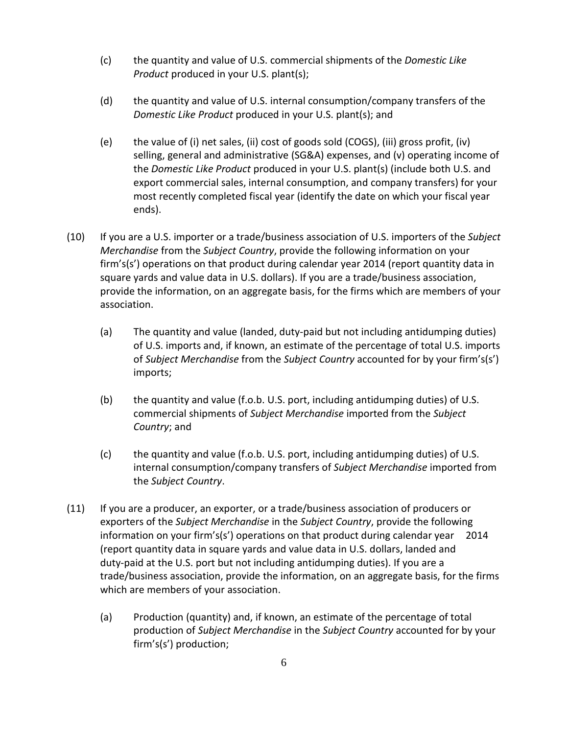- (c) the quantity and value of U.S. commercial shipments of the *Domestic Like Product* produced in your U.S. plant(s);
- (d) the quantity and value of U.S. internal consumption/company transfers of the *Domestic Like Product* produced in your U.S. plant(s); and
- (e) the value of (i) net sales, (ii) cost of goods sold (COGS), (iii) gross profit, (iv) selling, general and administrative (SG&A) expenses, and (v) operating income of the *Domestic Like Product* produced in your U.S. plant(s) (include both U.S. and export commercial sales, internal consumption, and company transfers) for your most recently completed fiscal year (identify the date on which your fiscal year ends).
- (10) If you are a U.S. importer or a trade/business association of U.S. importers of the *Subject Merchandise* from the *Subject Country*, provide the following information on your firm's(s') operations on that product during calendar year 2014 (report quantity data in square yards and value data in U.S. dollars). If you are a trade/business association, provide the information, on an aggregate basis, for the firms which are members of your association.
	- (a) The quantity and value (landed, duty-paid but not including antidumping duties) of U.S. imports and, if known, an estimate of the percentage of total U.S. imports of *Subject Merchandise* from the *Subject Country* accounted for by your firm's(s') imports;
	- (b) the quantity and value (f.o.b. U.S. port, including antidumping duties) of U.S. commercial shipments of *Subject Merchandise* imported from the *Subject Country*; and
	- (c) the quantity and value (f.o.b. U.S. port, including antidumping duties) of U.S. internal consumption/company transfers of *Subject Merchandise* imported from the *Subject Country*.
- (11) If you are a producer, an exporter, or a trade/business association of producers or exporters of the *Subject Merchandise* in the *Subject Country*, provide the following information on your firm's(s') operations on that product during calendar year 2014 (report quantity data in square yards and value data in U.S. dollars, landed and duty-paid at the U.S. port but not including antidumping duties). If you are a trade/business association, provide the information, on an aggregate basis, for the firms which are members of your association.
	- (a) Production (quantity) and, if known, an estimate of the percentage of total production of *Subject Merchandise* in the *Subject Country* accounted for by your firm's(s') production;